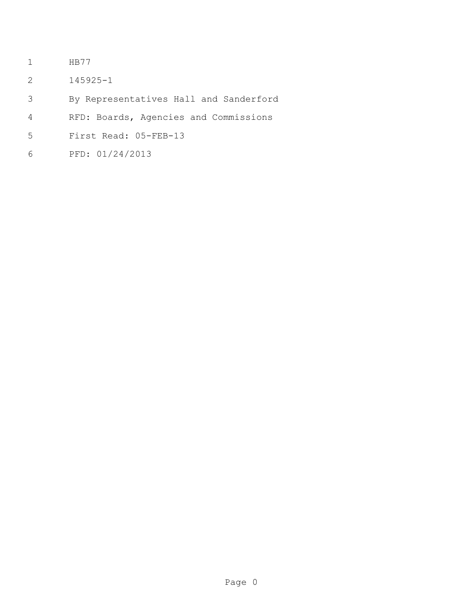- HB77
- 145925-1
- By Representatives Hall and Sanderford
- RFD: Boards, Agencies and Commissions
- First Read: 05-FEB-13
- PFD: 01/24/2013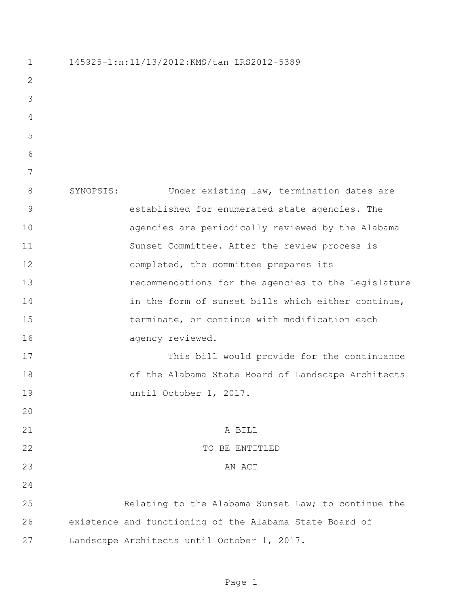| $\mathbf 1$    | 145925-1:n:11/13/2012:KMS/tan LRS2012-5389 |                                                         |
|----------------|--------------------------------------------|---------------------------------------------------------|
| 2              |                                            |                                                         |
| 3              |                                            |                                                         |
| $\overline{4}$ |                                            |                                                         |
| 5              |                                            |                                                         |
| 6              |                                            |                                                         |
| 7              |                                            |                                                         |
| 8              | SYNOPSIS:                                  | Under existing law, termination dates are               |
| $\mathsf 9$    |                                            | established for enumerated state agencies. The          |
| 10             |                                            | agencies are periodically reviewed by the Alabama       |
| 11             |                                            | Sunset Committee. After the review process is           |
| 12             |                                            | completed, the committee prepares its                   |
| 13             |                                            | recommendations for the agencies to the Legislature     |
| 14             |                                            | in the form of sunset bills which either continue,      |
| 15             |                                            | terminate, or continue with modification each           |
| 16             |                                            | agency reviewed.                                        |
| 17             |                                            | This bill would provide for the continuance             |
| 18             |                                            | of the Alabama State Board of Landscape Architects      |
| 19             |                                            | until October 1, 2017.                                  |
| 20             |                                            |                                                         |
| 21             |                                            | A BILL                                                  |
| 22             |                                            | TO BE ENTITLED                                          |
| 23             |                                            | AN ACT                                                  |
| 24             |                                            |                                                         |
| 25             |                                            | Relating to the Alabama Sunset Law; to continue the     |
| 26             |                                            | existence and functioning of the Alabama State Board of |
| 27             |                                            | Landscape Architects until October 1, 2017.             |